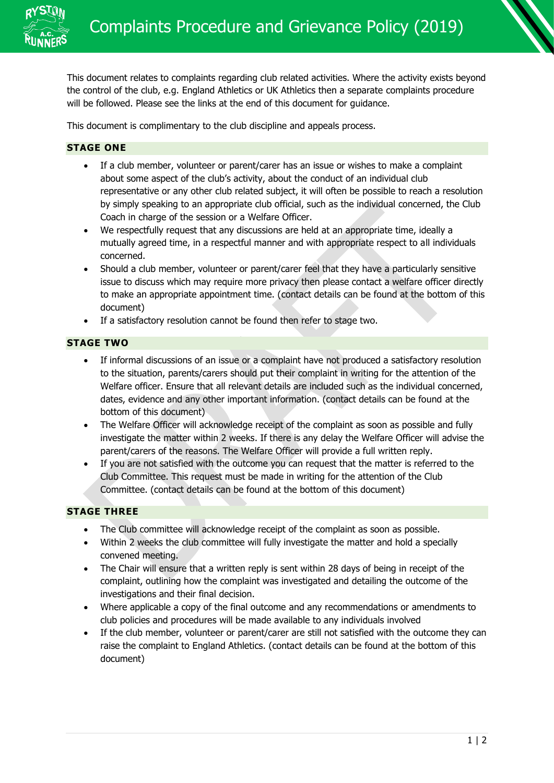

This document relates to complaints regarding club related activities. Where the activity exists beyond the control of the club, e.g. England Athletics or UK Athletics then a separate complaints procedure will be followed. Please see the links at the end of this document for guidance.

This document is complimentary to the club discipline and appeals process.

## **STAGE ONE**

- If a club member, volunteer or parent/carer has an issue or wishes to make a complaint about some aspect of the club's activity, about the conduct of an individual club representative or any other club related subject, it will often be possible to reach a resolution by simply speaking to an appropriate club official, such as the individual concerned, the Club Coach in charge of the session or a Welfare Officer.
- We respectfully request that any discussions are held at an appropriate time, ideally a mutually agreed time, in a respectful manner and with appropriate respect to all individuals concerned.
- Should a club member, volunteer or parent/carer feel that they have a particularly sensitive issue to discuss which may require more privacy then please contact a welfare officer directly to make an appropriate appointment time. (contact details can be found at the bottom of this document)
- If a satisfactory resolution cannot be found then refer to stage two.

### **STAGE TWO**

- If informal discussions of an issue or a complaint have not produced a satisfactory resolution to the situation, parents/carers should put their complaint in writing for the attention of the Welfare officer. Ensure that all relevant details are included such as the individual concerned, dates, evidence and any other important information. (contact details can be found at the bottom of this document)
- The Welfare Officer will acknowledge receipt of the complaint as soon as possible and fully investigate the matter within 2 weeks. If there is any delay the Welfare Officer will advise the parent/carers of the reasons. The Welfare Officer will provide a full written reply.
- If you are not satisfied with the outcome you can request that the matter is referred to the Club Committee. This request must be made in writing for the attention of the Club Committee. (contact details can be found at the bottom of this document)

## **STAGE THREE**

- The Club committee will acknowledge receipt of the complaint as soon as possible.
- Within 2 weeks the club committee will fully investigate the matter and hold a specially convened meeting.
- The Chair will ensure that a written reply is sent within 28 days of being in receipt of the complaint, outlining how the complaint was investigated and detailing the outcome of the investigations and their final decision.
- Where applicable a copy of the final outcome and any recommendations or amendments to club policies and procedures will be made available to any individuals involved
- If the club member, volunteer or parent/carer are still not satisfied with the outcome they can raise the complaint to England Athletics. (contact details can be found at the bottom of this document)